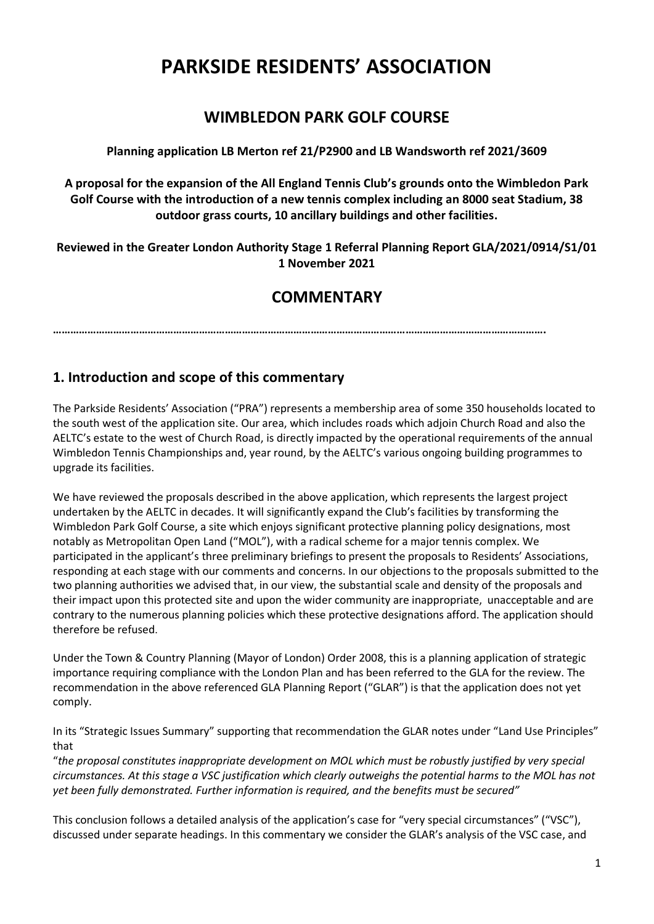# **PARKSIDE RESIDENTS' ASSOCIATION**

# **WIMBLEDON PARK GOLF COURSE**

**Planning application LB Merton ref 21/P2900 and LB Wandsworth ref 2021/3609**

**A proposal for the expansion of the All England Tennis Club's grounds onto the Wimbledon Park Golf Course with the introduction of a new tennis complex including an 8000 seat Stadium, 38 outdoor grass courts, 10 ancillary buildings and other facilities.** 

**Reviewed in the Greater London Authority Stage 1 Referral Planning Report GLA/2021/0914/S1/01 1 November 2021**

# **COMMENTARY**

**……………………………………………………………………………………………………………………………………………………….**

# **1. Introduction and scope of this commentary**

The Parkside Residents' Association ("PRA") represents a membership area of some 350 households located to the south west of the application site. Our area, which includes roads which adjoin Church Road and also the AELTC's estate to the west of Church Road, is directly impacted by the operational requirements of the annual Wimbledon Tennis Championships and, year round, by the AELTC's various ongoing building programmes to upgrade its facilities.

We have reviewed the proposals described in the above application, which represents the largest project undertaken by the AELTC in decades. It will significantly expand the Club's facilities by transforming the Wimbledon Park Golf Course, a site which enjoys significant protective planning policy designations, most notably as Metropolitan Open Land ("MOL"), with a radical scheme for a major tennis complex. We participated in the applicant's three preliminary briefings to present the proposals to Residents' Associations, responding at each stage with our comments and concerns. In our objections to the proposals submitted to the two planning authorities we advised that, in our view, the substantial scale and density of the proposals and their impact upon this protected site and upon the wider community are inappropriate, unacceptable and are contrary to the numerous planning policies which these protective designations afford. The application should therefore be refused.

Under the Town & Country Planning (Mayor of London) Order 2008, this is a planning application of strategic importance requiring compliance with the London Plan and has been referred to the GLA for the review. The recommendation in the above referenced GLA Planning Report ("GLAR") is that the application does not yet comply.

In its "Strategic Issues Summary" supporting that recommendation the GLAR notes under "Land Use Principles" that

"*the proposal constitutes inappropriate development on MOL which must be robustly justified by very special circumstances. At this stage a VSC justification which clearly outweighs the potential harms to the MOL has not yet been fully demonstrated. Further information is required, and the benefits must be secured"*

This conclusion follows a detailed analysis of the application's case for "very special circumstances" ("VSC"), discussed under separate headings. In this commentary we consider the GLAR's analysis of the VSC case, and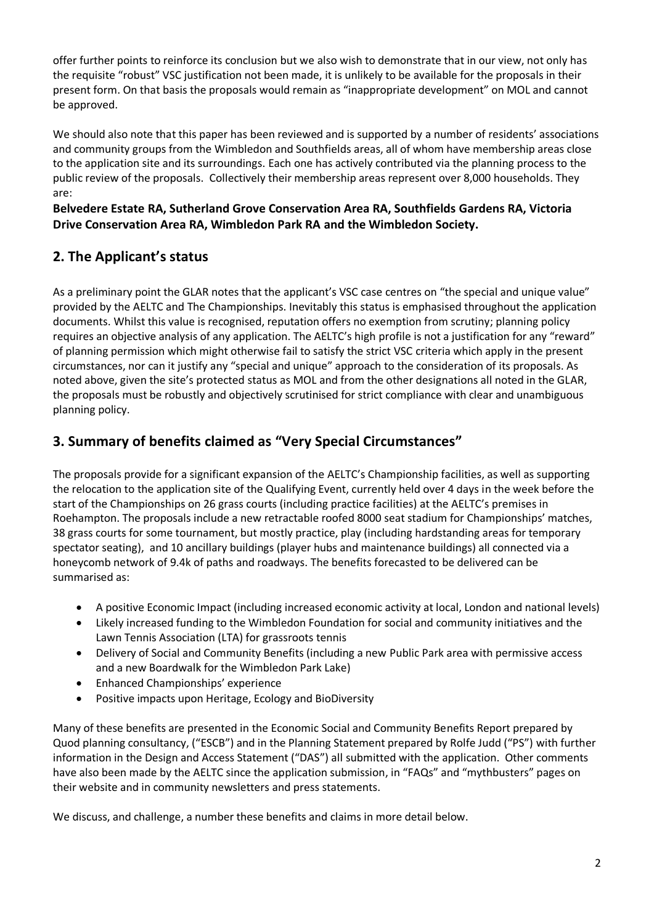offer further points to reinforce its conclusion but we also wish to demonstrate that in our view, not only has the requisite "robust" VSC justification not been made, it is unlikely to be available for the proposals in their present form. On that basis the proposals would remain as "inappropriate development" on MOL and cannot be approved.

We should also note that this paper has been reviewed and is supported by a number of residents' associations and community groups from the Wimbledon and Southfields areas, all of whom have membership areas close to the application site and its surroundings. Each one has actively contributed via the planning process to the public review of the proposals. Collectively their membership areas represent over 8,000 households. They are:

### **Belvedere Estate RA, Sutherland Grove Conservation Area RA, Southfields Gardens RA, Victoria Drive Conservation Area RA, Wimbledon Park RA and the Wimbledon Society.**

# **2. The Applicant's status**

As a preliminary point the GLAR notes that the applicant's VSC case centres on "the special and unique value" provided by the AELTC and The Championships. Inevitably this status is emphasised throughout the application documents. Whilst this value is recognised, reputation offers no exemption from scrutiny; planning policy requires an objective analysis of any application. The AELTC's high profile is not a justification for any "reward" of planning permission which might otherwise fail to satisfy the strict VSC criteria which apply in the present circumstances, nor can it justify any "special and unique" approach to the consideration of its proposals. As noted above, given the site's protected status as MOL and from the other designations all noted in the GLAR, the proposals must be robustly and objectively scrutinised for strict compliance with clear and unambiguous planning policy.

# **3. Summary of benefits claimed as "Very Special Circumstances"**

The proposals provide for a significant expansion of the AELTC's Championship facilities, as well as supporting the relocation to the application site of the Qualifying Event, currently held over 4 days in the week before the start of the Championships on 26 grass courts (including practice facilities) at the AELTC's premises in Roehampton. The proposals include a new retractable roofed 8000 seat stadium for Championships' matches, 38 grass courts for some tournament, but mostly practice, play (including hardstanding areas for temporary spectator seating), and 10 ancillary buildings (player hubs and maintenance buildings) all connected via a honeycomb network of 9.4k of paths and roadways. The benefits forecasted to be delivered can be summarised as:

- A positive Economic Impact (including increased economic activity at local, London and national levels)
- Likely increased funding to the Wimbledon Foundation for social and community initiatives and the Lawn Tennis Association (LTA) for grassroots tennis
- Delivery of Social and Community Benefits (including a new Public Park area with permissive access and a new Boardwalk for the Wimbledon Park Lake)
- Enhanced Championships' experience
- Positive impacts upon Heritage, Ecology and BioDiversity

Many of these benefits are presented in the Economic Social and Community Benefits Report prepared by Quod planning consultancy, ("ESCB") and in the Planning Statement prepared by Rolfe Judd ("PS") with further information in the Design and Access Statement ("DAS") all submitted with the application. Other comments have also been made by the AELTC since the application submission, in "FAQs" and "mythbusters" pages on their website and in community newsletters and press statements.

We discuss, and challenge, a number these benefits and claims in more detail below.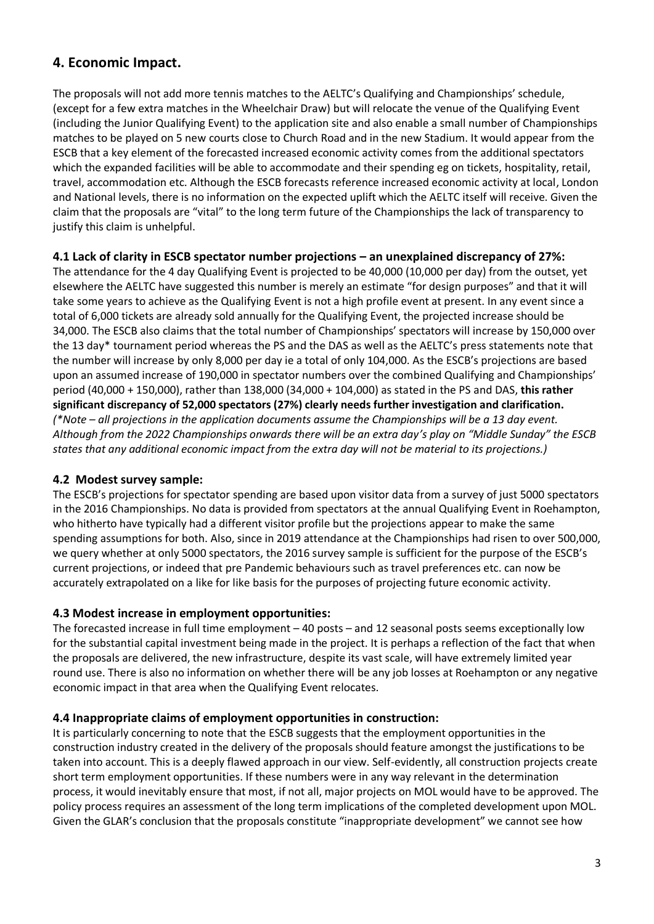# **4. Economic Impact.**

The proposals will not add more tennis matches to the AELTC's Qualifying and Championships' schedule, (except for a few extra matches in the Wheelchair Draw) but will relocate the venue of the Qualifying Event (including the Junior Qualifying Event) to the application site and also enable a small number of Championships matches to be played on 5 new courts close to Church Road and in the new Stadium. It would appear from the ESCB that a key element of the forecasted increased economic activity comes from the additional spectators which the expanded facilities will be able to accommodate and their spending eg on tickets, hospitality, retail, travel, accommodation etc. Although the ESCB forecasts reference increased economic activity at local, London and National levels, there is no information on the expected uplift which the AELTC itself will receive. Given the claim that the proposals are "vital" to the long term future of the Championships the lack of transparency to justify this claim is unhelpful.

#### **4.1 Lack of clarity in ESCB spectator number projections – an unexplained discrepancy of 27%:**

The attendance for the 4 day Qualifying Event is projected to be 40,000 (10,000 per day) from the outset, yet elsewhere the AELTC have suggested this number is merely an estimate "for design purposes" and that it will take some years to achieve as the Qualifying Event is not a high profile event at present. In any event since a total of 6,000 tickets are already sold annually for the Qualifying Event, the projected increase should be 34,000. The ESCB also claims that the total number of Championships' spectators will increase by 150,000 over the 13 day\* tournament period whereas the PS and the DAS as well as the AELTC's press statements note that the number will increase by only 8,000 per day ie a total of only 104,000. As the ESCB's projections are based upon an assumed increase of 190,000 in spectator numbers over the combined Qualifying and Championships' period (40,000 + 150,000), rather than 138,000 (34,000 + 104,000) as stated in the PS and DAS, **this rather significant discrepancy of 52,000 spectators (27%) clearly needs further investigation and clarification.** *(\*Note – all projections in the application documents assume the Championships will be a 13 day event. Although from the 2022 Championships onwards there will be an extra day's play on "Middle Sunday" the ESCB states that any additional economic impact from the extra day will not be material to its projections.)* 

#### **4.2 Modest survey sample:**

The ESCB's projections for spectator spending are based upon visitor data from a survey of just 5000 spectators in the 2016 Championships. No data is provided from spectators at the annual Qualifying Event in Roehampton, who hitherto have typically had a different visitor profile but the projections appear to make the same spending assumptions for both. Also, since in 2019 attendance at the Championships had risen to over 500,000, we query whether at only 5000 spectators, the 2016 survey sample is sufficient for the purpose of the ESCB's current projections, or indeed that pre Pandemic behaviours such as travel preferences etc. can now be accurately extrapolated on a like for like basis for the purposes of projecting future economic activity.

#### **4.3 Modest increase in employment opportunities:**

The forecasted increase in full time employment – 40 posts – and 12 seasonal posts seems exceptionally low for the substantial capital investment being made in the project. It is perhaps a reflection of the fact that when the proposals are delivered, the new infrastructure, despite its vast scale, will have extremely limited year round use. There is also no information on whether there will be any job losses at Roehampton or any negative economic impact in that area when the Qualifying Event relocates.

#### **4.4 Inappropriate claims of employment opportunities in construction:**

It is particularly concerning to note that the ESCB suggests that the employment opportunities in the construction industry created in the delivery of the proposals should feature amongst the justifications to be taken into account. This is a deeply flawed approach in our view. Self-evidently, all construction projects create short term employment opportunities. If these numbers were in any way relevant in the determination process, it would inevitably ensure that most, if not all, major projects on MOL would have to be approved. The policy process requires an assessment of the long term implications of the completed development upon MOL. Given the GLAR's conclusion that the proposals constitute "inappropriate development" we cannot see how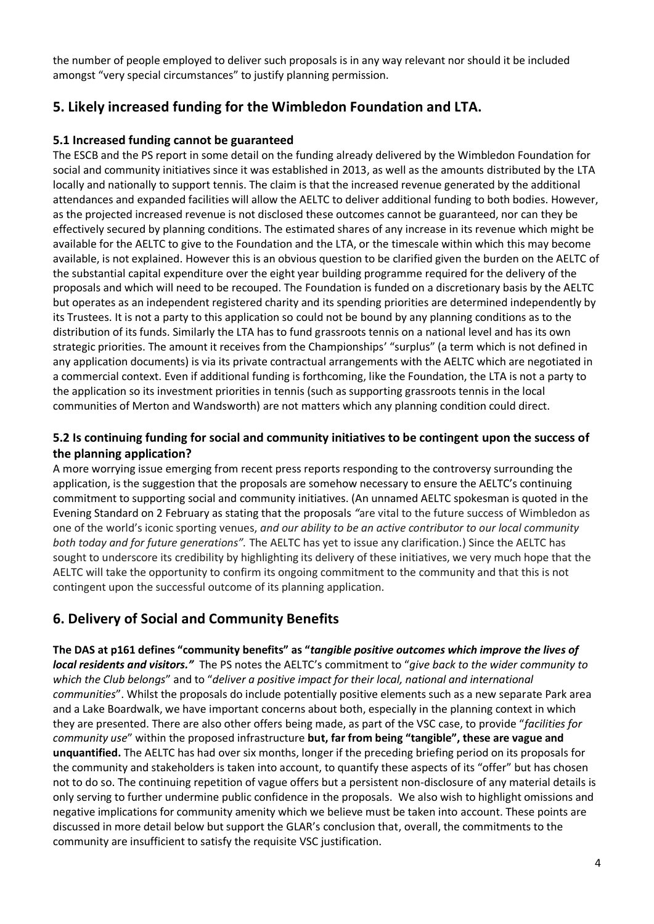the number of people employed to deliver such proposals is in any way relevant nor should it be included amongst "very special circumstances" to justify planning permission.

# **5. Likely increased funding for the Wimbledon Foundation and LTA.**

### **5.1 Increased funding cannot be guaranteed**

The ESCB and the PS report in some detail on the funding already delivered by the Wimbledon Foundation for social and community initiatives since it was established in 2013, as well as the amounts distributed by the LTA locally and nationally to support tennis. The claim is that the increased revenue generated by the additional attendances and expanded facilities will allow the AELTC to deliver additional funding to both bodies. However, as the projected increased revenue is not disclosed these outcomes cannot be guaranteed, nor can they be effectively secured by planning conditions. The estimated shares of any increase in its revenue which might be available for the AELTC to give to the Foundation and the LTA, or the timescale within which this may become available, is not explained. However this is an obvious question to be clarified given the burden on the AELTC of the substantial capital expenditure over the eight year building programme required for the delivery of the proposals and which will need to be recouped. The Foundation is funded on a discretionary basis by the AELTC but operates as an independent registered charity and its spending priorities are determined independently by its Trustees. It is not a party to this application so could not be bound by any planning conditions as to the distribution of its funds. Similarly the LTA has to fund grassroots tennis on a national level and has its own strategic priorities. The amount it receives from the Championships' "surplus" (a term which is not defined in any application documents) is via its private contractual arrangements with the AELTC which are negotiated in a commercial context. Even if additional funding is forthcoming, like the Foundation, the LTA is not a party to the application so its investment priorities in tennis (such as supporting grassroots tennis in the local communities of Merton and Wandsworth) are not matters which any planning condition could direct.

### **5.2 Is continuing funding for social and community initiatives to be contingent upon the success of the planning application?**

A more worrying issue emerging from recent press reports responding to the controversy surrounding the application, is the suggestion that the proposals are somehow necessary to ensure the AELTC's continuing commitment to supporting social and community initiatives. (An unnamed AELTC spokesman is quoted in the Evening Standard on 2 February as stating that the proposals *"*are vital to the future success of Wimbledon as one of the world's iconic sporting venues, *and our ability to be an active contributor to our local community both today and for future generations".* The AELTC has yet to issue any clarification.) Since the AELTC has sought to underscore its credibility by highlighting its delivery of these initiatives, we very much hope that the AELTC will take the opportunity to confirm its ongoing commitment to the community and that this is not contingent upon the successful outcome of its planning application.

# **6. Delivery of Social and Community Benefits**

**The DAS at p161 defines "community benefits" as "***tangible positive outcomes which improve the lives of local residents and visitors."* The PS notes the AELTC's commitment to "*give back to the wider community to which the Club belongs*" and to "*deliver a positive impact for their local, national and international communities*". Whilst the proposals do include potentially positive elements such as a new separate Park area and a Lake Boardwalk, we have important concerns about both, especially in the planning context in which they are presented. There are also other offers being made, as part of the VSC case, to provide "*facilities for community use*" within the proposed infrastructure **but, far from being "tangible", these are vague and unquantified.** The AELTC has had over six months, longer if the preceding briefing period on its proposals for the community and stakeholders is taken into account, to quantify these aspects of its "offer" but has chosen not to do so. The continuing repetition of vague offers but a persistent non-disclosure of any material details is only serving to further undermine public confidence in the proposals. We also wish to highlight omissions and negative implications for community amenity which we believe must be taken into account. These points are discussed in more detail below but support the GLAR's conclusion that, overall, the commitments to the community are insufficient to satisfy the requisite VSC justification.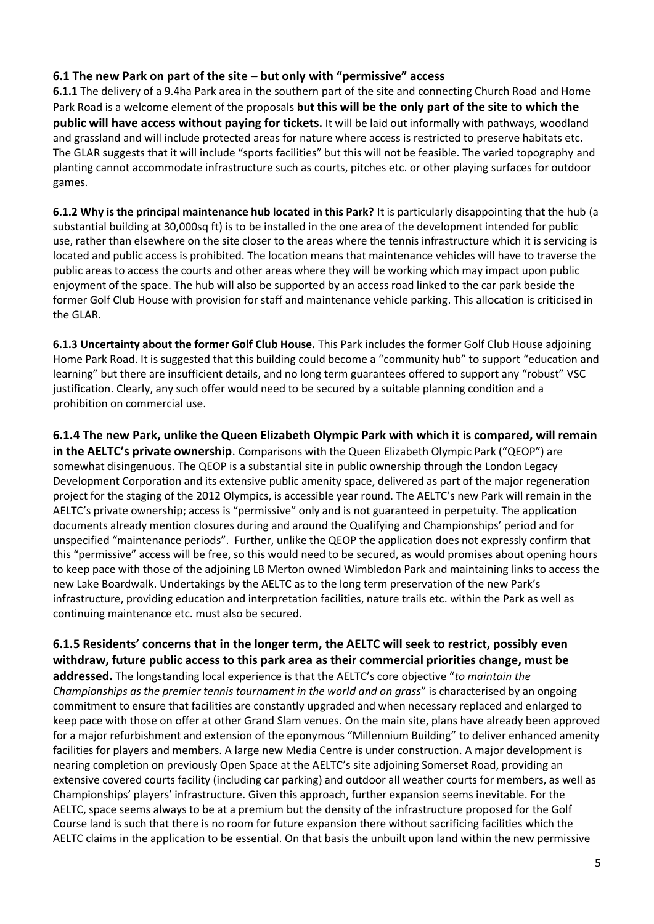### **6.1 The new Park on part of the site – but only with "permissive" access**

**6.1.1** The delivery of a 9.4ha Park area in the southern part of the site and connecting Church Road and Home Park Road is a welcome element of the proposals **but this will be the only part of the site to which the public will have access without paying for tickets.** It will be laid out informally with pathways, woodland and grassland and will include protected areas for nature where access is restricted to preserve habitats etc. The GLAR suggests that it will include "sports facilities" but this will not be feasible. The varied topography and planting cannot accommodate infrastructure such as courts, pitches etc. or other playing surfaces for outdoor games.

**6.1.2 Why is the principal maintenance hub located in this Park?** It is particularly disappointing that the hub (a substantial building at 30,000sq ft) is to be installed in the one area of the development intended for public use, rather than elsewhere on the site closer to the areas where the tennis infrastructure which it is servicing is located and public access is prohibited. The location means that maintenance vehicles will have to traverse the public areas to access the courts and other areas where they will be working which may impact upon public enjoyment of the space. The hub will also be supported by an access road linked to the car park beside the former Golf Club House with provision for staff and maintenance vehicle parking. This allocation is criticised in the GLAR.

**6.1.3 Uncertainty about the former Golf Club House.** This Park includes the former Golf Club House adjoining Home Park Road. It is suggested that this building could become a "community hub" to support "education and learning" but there are insufficient details, and no long term guarantees offered to support any "robust" VSC justification. Clearly, any such offer would need to be secured by a suitable planning condition and a prohibition on commercial use.

**6.1.4 The new Park, unlike the Queen Elizabeth Olympic Park with which it is compared, will remain in the AELTC's private ownership**. Comparisons with the Queen Elizabeth Olympic Park ("QEOP") are somewhat disingenuous. The QEOP is a substantial site in public ownership through the London Legacy Development Corporation and its extensive public amenity space, delivered as part of the major regeneration project for the staging of the 2012 Olympics, is accessible year round. The AELTC's new Park will remain in the AELTC's private ownership; access is "permissive" only and is not guaranteed in perpetuity. The application documents already mention closures during and around the Qualifying and Championships' period and for unspecified "maintenance periods". Further, unlike the QEOP the application does not expressly confirm that this "permissive" access will be free, so this would need to be secured, as would promises about opening hours to keep pace with those of the adjoining LB Merton owned Wimbledon Park and maintaining links to access the new Lake Boardwalk. Undertakings by the AELTC as to the long term preservation of the new Park's infrastructure, providing education and interpretation facilities, nature trails etc. within the Park as well as continuing maintenance etc. must also be secured.

**6.1.5 Residents' concerns that in the longer term, the AELTC will seek to restrict, possibly even withdraw, future public access to this park area as their commercial priorities change, must be** 

**addressed.** The longstanding local experience is that the AELTC's core objective "*to maintain the Championships as the premier tennis tournament in the world and on grass*" is characterised by an ongoing commitment to ensure that facilities are constantly upgraded and when necessary replaced and enlarged to keep pace with those on offer at other Grand Slam venues. On the main site, plans have already been approved for a major refurbishment and extension of the eponymous "Millennium Building" to deliver enhanced amenity facilities for players and members. A large new Media Centre is under construction. A major development is nearing completion on previously Open Space at the AELTC's site adjoining Somerset Road, providing an extensive covered courts facility (including car parking) and outdoor all weather courts for members, as well as Championships' players' infrastructure. Given this approach, further expansion seems inevitable. For the AELTC, space seems always to be at a premium but the density of the infrastructure proposed for the Golf Course land is such that there is no room for future expansion there without sacrificing facilities which the AELTC claims in the application to be essential. On that basis the unbuilt upon land within the new permissive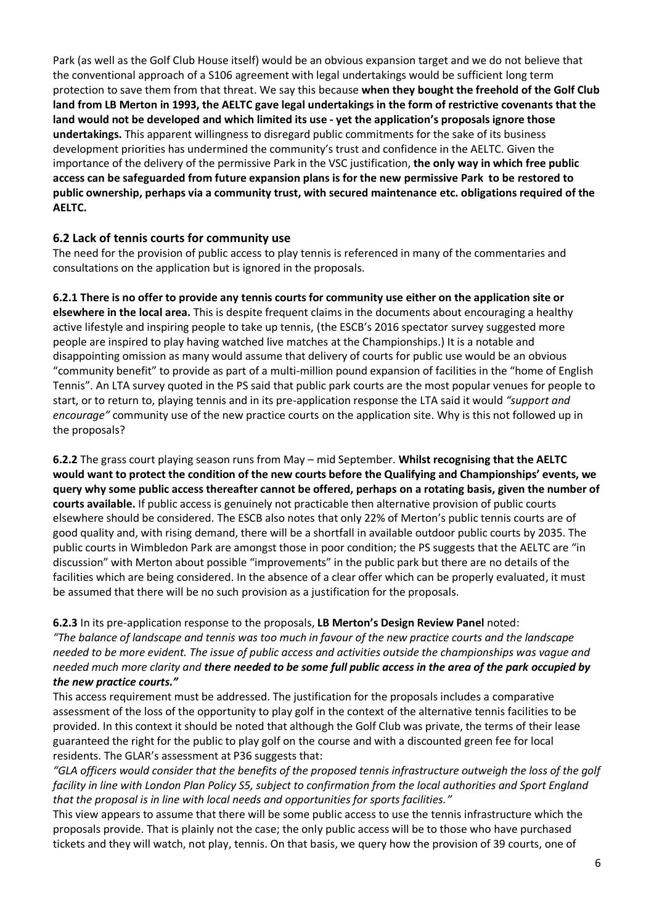Park (as well as the Golf Club House itself) would be an obvious expansion target and we do not believe that the conventional approach of a S106 agreement with legal undertakings would be sufficient long term protection to save them from that threat. We say this because **when they bought the freehold of the Golf Club land from LB Merton in 1993, the AELTC gave legal undertakings in the form of restrictive covenants that the land would not be developed and which limited its use - yet the application's proposals ignore those undertakings.** This apparent willingness to disregard public commitments for the sake of its business development priorities has undermined the community's trust and confidence in the AELTC. Given the importance of the delivery of the permissive Park in the VSC justification, **the only way in which free public access can be safeguarded from future expansion plans is for the new permissive Park to be restored to public ownership, perhaps via a community trust, with secured maintenance etc. obligations required of the AELTC.** 

#### **6.2 Lack of tennis courts for community use**

The need for the provision of public access to play tennis is referenced in many of the commentaries and consultations on the application but is ignored in the proposals.

**6.2.1 There is no offer to provide any tennis courts for community use either on the application site or elsewhere in the local area.** This is despite frequent claims in the documents about encouraging a healthy active lifestyle and inspiring people to take up tennis, (the ESCB's 2016 spectator survey suggested more people are inspired to play having watched live matches at the Championships.) It is a notable and disappointing omission as many would assume that delivery of courts for public use would be an obvious "community benefit" to provide as part of a multi-million pound expansion of facilities in the "home of English Tennis". An LTA survey quoted in the PS said that public park courts are the most popular venues for people to start, or to return to, playing tennis and in its pre-application response the LTA said it would *"support and encourage"* community use of the new practice courts on the application site. Why is this not followed up in the proposals?

**6.2.2** The grass court playing season runs from May – mid September. **Whilst recognising that the AELTC would want to protect the condition of the new courts before the Qualifying and Championships' events, we query why some public access thereafter cannot be offered, perhaps on a rotating basis, given the number of courts available.** If public access is genuinely not practicable then alternative provision of public courts elsewhere should be considered. The ESCB also notes that only 22% of Merton's public tennis courts are of good quality and, with rising demand, there will be a shortfall in available outdoor public courts by 2035. The public courts in Wimbledon Park are amongst those in poor condition; the PS suggests that the AELTC are "in discussion" with Merton about possible "improvements" in the public park but there are no details of the facilities which are being considered. In the absence of a clear offer which can be properly evaluated, it must be assumed that there will be no such provision as a justification for the proposals.

#### **6.2.3** In its pre-application response to the proposals, **LB Merton's Design Review Panel** noted:

*"The balance of landscape and tennis was too much in favour of the new practice courts and the landscape needed to be more evident. The issue of public access and activities outside the championships was vague and needed much more clarity and there needed to be some full public access in the area of the park occupied by the new practice courts."*

This access requirement must be addressed. The justification for the proposals includes a comparative assessment of the loss of the opportunity to play golf in the context of the alternative tennis facilities to be provided. In this context it should be noted that although the Golf Club was private, the terms of their lease guaranteed the right for the public to play golf on the course and with a discounted green fee for local residents. The GLAR's assessment at P36 suggests that:

*"GLA officers would consider that the benefits of the proposed tennis infrastructure outweigh the loss of the golf facility in line with London Plan Policy S5, subject to confirmation from the local authorities and Sport England that the proposal is in line with local needs and opportunities for sports facilities."*

This view appears to assume that there will be some public access to use the tennis infrastructure which the proposals provide. That is plainly not the case; the only public access will be to those who have purchased tickets and they will watch, not play, tennis. On that basis, we query how the provision of 39 courts, one of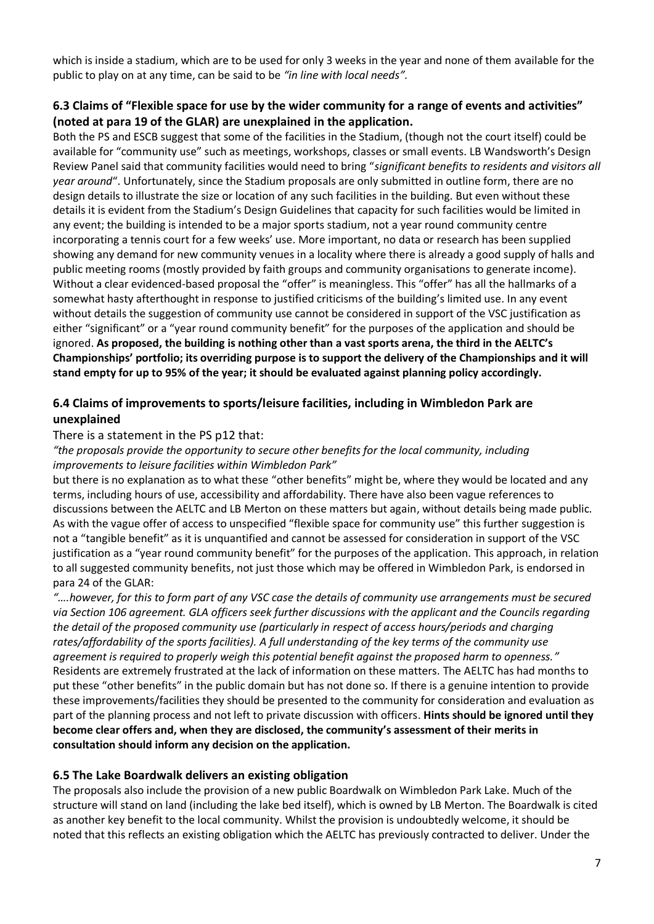which is inside a stadium, which are to be used for only 3 weeks in the year and none of them available for the public to play on at any time, can be said to be *"in line with local needs".* 

### **6.3 Claims of "Flexible space for use by the wider community for a range of events and activities" (noted at para 19 of the GLAR) are unexplained in the application.**

Both the PS and ESCB suggest that some of the facilities in the Stadium, (though not the court itself) could be available for "community use" such as meetings, workshops, classes or small events. LB Wandsworth's Design Review Panel said that community facilities would need to bring "*significant benefits to residents and visitors all year around*". Unfortunately, since the Stadium proposals are only submitted in outline form, there are no design details to illustrate the size or location of any such facilities in the building. But even without these details it is evident from the Stadium's Design Guidelines that capacity for such facilities would be limited in any event; the building is intended to be a major sports stadium, not a year round community centre incorporating a tennis court for a few weeks' use. More important, no data or research has been supplied showing any demand for new community venues in a locality where there is already a good supply of halls and public meeting rooms (mostly provided by faith groups and community organisations to generate income). Without a clear evidenced-based proposal the "offer" is meaningless. This "offer" has all the hallmarks of a somewhat hasty afterthought in response to justified criticisms of the building's limited use. In any event without details the suggestion of community use cannot be considered in support of the VSC justification as either "significant" or a "year round community benefit" for the purposes of the application and should be ignored. **As proposed, the building is nothing other than a vast sports arena, the third in the AELTC's Championships' portfolio; its overriding purpose is to support the delivery of the Championships and it will stand empty for up to 95% of the year; it should be evaluated against planning policy accordingly.**

### **6.4 Claims of improvements to sports/leisure facilities, including in Wimbledon Park are unexplained**

#### There is a statement in the PS p12 that:

#### *"the proposals provide the opportunity to secure other benefits for the local community, including improvements to leisure facilities within Wimbledon Park"*

but there is no explanation as to what these "other benefits" might be, where they would be located and any terms, including hours of use, accessibility and affordability. There have also been vague references to discussions between the AELTC and LB Merton on these matters but again, without details being made public. As with the vague offer of access to unspecified "flexible space for community use" this further suggestion is not a "tangible benefit" as it is unquantified and cannot be assessed for consideration in support of the VSC justification as a "year round community benefit" for the purposes of the application. This approach, in relation to all suggested community benefits, not just those which may be offered in Wimbledon Park, is endorsed in para 24 of the GLAR:

*"….however, for this to form part of any VSC case the details of community use arrangements must be secured via Section 106 agreement. GLA officers seek further discussions with the applicant and the Councils regarding the detail of the proposed community use (particularly in respect of access hours/periods and charging rates/affordability of the sports facilities). A full understanding of the key terms of the community use agreement is required to properly weigh this potential benefit against the proposed harm to openness."* Residents are extremely frustrated at the lack of information on these matters. The AELTC has had months to put these "other benefits" in the public domain but has not done so. If there is a genuine intention to provide these improvements/facilities they should be presented to the community for consideration and evaluation as part of the planning process and not left to private discussion with officers. **Hints should be ignored until they become clear offers and, when they are disclosed, the community's assessment of their merits in consultation should inform any decision on the application.** 

#### **6.5 The Lake Boardwalk delivers an existing obligation**

The proposals also include the provision of a new public Boardwalk on Wimbledon Park Lake. Much of the structure will stand on land (including the lake bed itself), which is owned by LB Merton. The Boardwalk is cited as another key benefit to the local community. Whilst the provision is undoubtedly welcome, it should be noted that this reflects an existing obligation which the AELTC has previously contracted to deliver. Under the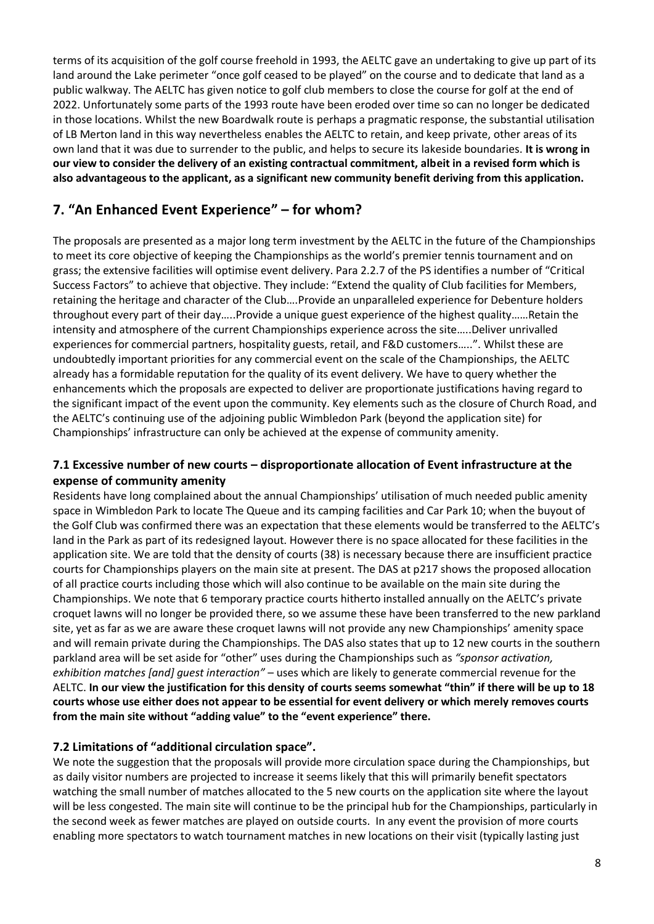terms of its acquisition of the golf course freehold in 1993, the AELTC gave an undertaking to give up part of its land around the Lake perimeter "once golf ceased to be played" on the course and to dedicate that land as a public walkway. The AELTC has given notice to golf club members to close the course for golf at the end of 2022. Unfortunately some parts of the 1993 route have been eroded over time so can no longer be dedicated in those locations. Whilst the new Boardwalk route is perhaps a pragmatic response, the substantial utilisation of LB Merton land in this way nevertheless enables the AELTC to retain, and keep private, other areas of its own land that it was due to surrender to the public, and helps to secure its lakeside boundaries. **It is wrong in our view to consider the delivery of an existing contractual commitment, albeit in a revised form which is also advantageous to the applicant, as a significant new community benefit deriving from this application.** 

# **7. "An Enhanced Event Experience" – for whom?**

The proposals are presented as a major long term investment by the AELTC in the future of the Championships to meet its core objective of keeping the Championships as the world's premier tennis tournament and on grass; the extensive facilities will optimise event delivery. Para 2.2.7 of the PS identifies a number of "Critical Success Factors" to achieve that objective. They include: "Extend the quality of Club facilities for Members, retaining the heritage and character of the Club….Provide an unparalleled experience for Debenture holders throughout every part of their day…..Provide a unique guest experience of the highest quality……Retain the intensity and atmosphere of the current Championships experience across the site…..Deliver unrivalled experiences for commercial partners, hospitality guests, retail, and F&D customers…..". Whilst these are undoubtedly important priorities for any commercial event on the scale of the Championships, the AELTC already has a formidable reputation for the quality of its event delivery. We have to query whether the enhancements which the proposals are expected to deliver are proportionate justifications having regard to the significant impact of the event upon the community. Key elements such as the closure of Church Road, and the AELTC's continuing use of the adjoining public Wimbledon Park (beyond the application site) for Championships' infrastructure can only be achieved at the expense of community amenity.

#### **7.1 Excessive number of new courts – disproportionate allocation of Event infrastructure at the expense of community amenity**

Residents have long complained about the annual Championships' utilisation of much needed public amenity space in Wimbledon Park to locate The Queue and its camping facilities and Car Park 10; when the buyout of the Golf Club was confirmed there was an expectation that these elements would be transferred to the AELTC's land in the Park as part of its redesigned layout. However there is no space allocated for these facilities in the application site. We are told that the density of courts (38) is necessary because there are insufficient practice courts for Championships players on the main site at present. The DAS at p217 shows the proposed allocation of all practice courts including those which will also continue to be available on the main site during the Championships. We note that 6 temporary practice courts hitherto installed annually on the AELTC's private croquet lawns will no longer be provided there, so we assume these have been transferred to the new parkland site, yet as far as we are aware these croquet lawns will not provide any new Championships' amenity space and will remain private during the Championships. The DAS also states that up to 12 new courts in the southern parkland area will be set aside for "other" uses during the Championships such as *"sponsor activation, exhibition matches [and] guest interaction"* – uses which are likely to generate commercial revenue for the AELTC. **In our view the justification for this density of courts seems somewhat "thin" if there will be up to 18 courts whose use either does not appear to be essential for event delivery or which merely removes courts from the main site without "adding value" to the "event experience" there.** 

### **7.2 Limitations of "additional circulation space".**

We note the suggestion that the proposals will provide more circulation space during the Championships, but as daily visitor numbers are projected to increase it seems likely that this will primarily benefit spectators watching the small number of matches allocated to the 5 new courts on the application site where the layout will be less congested. The main site will continue to be the principal hub for the Championships, particularly in the second week as fewer matches are played on outside courts. In any event the provision of more courts enabling more spectators to watch tournament matches in new locations on their visit (typically lasting just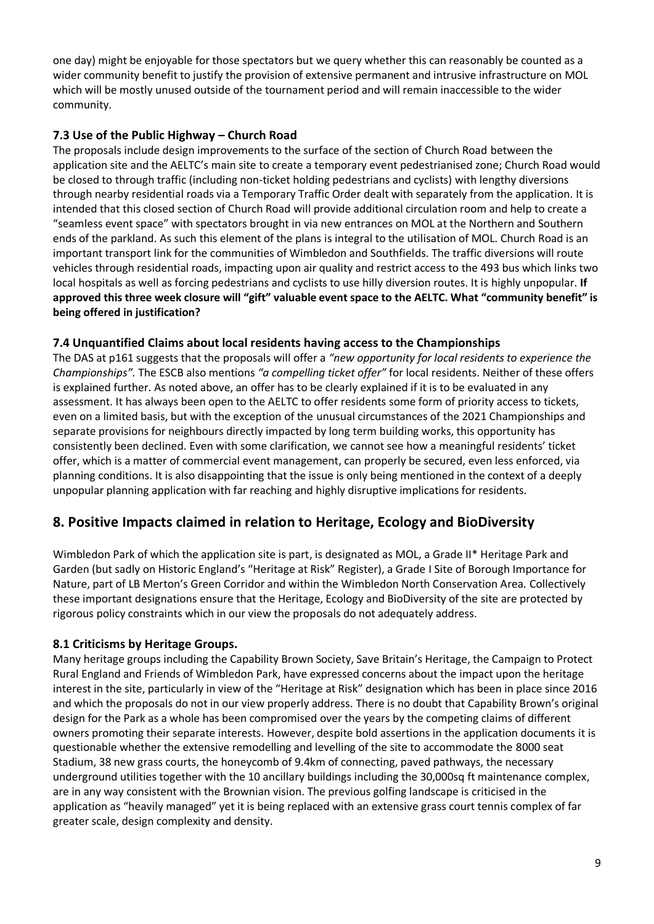one day) might be enjoyable for those spectators but we query whether this can reasonably be counted as a wider community benefit to justify the provision of extensive permanent and intrusive infrastructure on MOL which will be mostly unused outside of the tournament period and will remain inaccessible to the wider community.

### **7.3 Use of the Public Highway – Church Road**

The proposals include design improvements to the surface of the section of Church Road between the application site and the AELTC's main site to create a temporary event pedestrianised zone; Church Road would be closed to through traffic (including non-ticket holding pedestrians and cyclists) with lengthy diversions through nearby residential roads via a Temporary Traffic Order dealt with separately from the application. It is intended that this closed section of Church Road will provide additional circulation room and help to create a "seamless event space" with spectators brought in via new entrances on MOL at the Northern and Southern ends of the parkland. As such this element of the plans is integral to the utilisation of MOL. Church Road is an important transport link for the communities of Wimbledon and Southfields. The traffic diversions will route vehicles through residential roads, impacting upon air quality and restrict access to the 493 bus which links two local hospitals as well as forcing pedestrians and cyclists to use hilly diversion routes. It is highly unpopular. **If approved this three week closure will "gift" valuable event space to the AELTC. What "community benefit" is being offered in justification?** 

### **7.4 Unquantified Claims about local residents having access to the Championships**

The DAS at p161 suggests that the proposals will offer a *"new opportunity for local residents to experience the Championships".* The ESCB also mentions *"a compelling ticket offer"* for local residents. Neither of these offers is explained further. As noted above, an offer has to be clearly explained if it is to be evaluated in any assessment. It has always been open to the AELTC to offer residents some form of priority access to tickets, even on a limited basis, but with the exception of the unusual circumstances of the 2021 Championships and separate provisions for neighbours directly impacted by long term building works, this opportunity has consistently been declined. Even with some clarification, we cannot see how a meaningful residents' ticket offer, which is a matter of commercial event management, can properly be secured, even less enforced, via planning conditions. It is also disappointing that the issue is only being mentioned in the context of a deeply unpopular planning application with far reaching and highly disruptive implications for residents.

# **8. Positive Impacts claimed in relation to Heritage, Ecology and BioDiversity**

Wimbledon Park of which the application site is part, is designated as MOL, a Grade II\* Heritage Park and Garden (but sadly on Historic England's "Heritage at Risk" Register), a Grade I Site of Borough Importance for Nature, part of LB Merton's Green Corridor and within the Wimbledon North Conservation Area. Collectively these important designations ensure that the Heritage, Ecology and BioDiversity of the site are protected by rigorous policy constraints which in our view the proposals do not adequately address.

### **8.1 Criticisms by Heritage Groups.**

Many heritage groups including the Capability Brown Society, Save Britain's Heritage, the Campaign to Protect Rural England and Friends of Wimbledon Park, have expressed concerns about the impact upon the heritage interest in the site, particularly in view of the "Heritage at Risk" designation which has been in place since 2016 and which the proposals do not in our view properly address. There is no doubt that Capability Brown's original design for the Park as a whole has been compromised over the years by the competing claims of different owners promoting their separate interests. However, despite bold assertions in the application documents it is questionable whether the extensive remodelling and levelling of the site to accommodate the 8000 seat Stadium, 38 new grass courts, the honeycomb of 9.4km of connecting, paved pathways, the necessary underground utilities together with the 10 ancillary buildings including the 30,000sq ft maintenance complex, are in any way consistent with the Brownian vision. The previous golfing landscape is criticised in the application as "heavily managed" yet it is being replaced with an extensive grass court tennis complex of far greater scale, design complexity and density.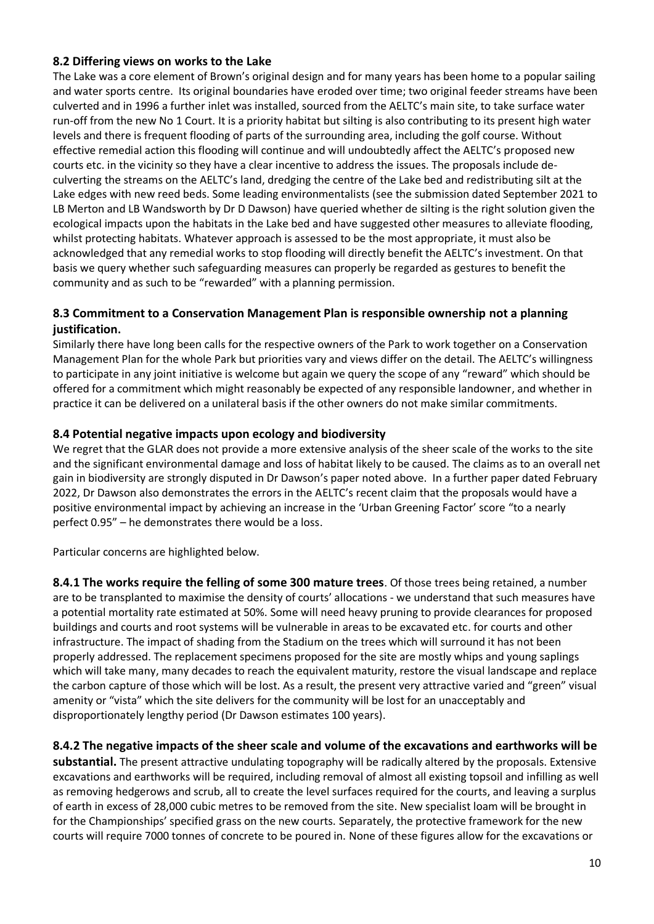#### **8.2 Differing views on works to the Lake**

The Lake was a core element of Brown's original design and for many years has been home to a popular sailing and water sports centre. Its original boundaries have eroded over time; two original feeder streams have been culverted and in 1996 a further inlet was installed, sourced from the AELTC's main site, to take surface water run-off from the new No 1 Court. It is a priority habitat but silting is also contributing to its present high water levels and there is frequent flooding of parts of the surrounding area, including the golf course. Without effective remedial action this flooding will continue and will undoubtedly affect the AELTC's proposed new courts etc. in the vicinity so they have a clear incentive to address the issues. The proposals include deculverting the streams on the AELTC's land, dredging the centre of the Lake bed and redistributing silt at the Lake edges with new reed beds. Some leading environmentalists (see the submission dated September 2021 to LB Merton and LB Wandsworth by Dr D Dawson) have queried whether de silting is the right solution given the ecological impacts upon the habitats in the Lake bed and have suggested other measures to alleviate flooding, whilst protecting habitats. Whatever approach is assessed to be the most appropriate, it must also be acknowledged that any remedial works to stop flooding will directly benefit the AELTC's investment. On that basis we query whether such safeguarding measures can properly be regarded as gestures to benefit the community and as such to be "rewarded" with a planning permission.

### **8.3 Commitment to a Conservation Management Plan is responsible ownership not a planning justification.**

Similarly there have long been calls for the respective owners of the Park to work together on a Conservation Management Plan for the whole Park but priorities vary and views differ on the detail. The AELTC's willingness to participate in any joint initiative is welcome but again we query the scope of any "reward" which should be offered for a commitment which might reasonably be expected of any responsible landowner, and whether in practice it can be delivered on a unilateral basis if the other owners do not make similar commitments.

#### **8.4 Potential negative impacts upon ecology and biodiversity**

We regret that the GLAR does not provide a more extensive analysis of the sheer scale of the works to the site and the significant environmental damage and loss of habitat likely to be caused. The claims as to an overall net gain in biodiversity are strongly disputed in Dr Dawson's paper noted above. In a further paper dated February 2022, Dr Dawson also demonstrates the errors in the AELTC's recent claim that the proposals would have a positive environmental impact by achieving an increase in the 'Urban Greening Factor' score "to a nearly perfect 0.95" – he demonstrates there would be a loss.

Particular concerns are highlighted below.

**8.4.1 The works require the felling of some 300 mature trees**. Of those trees being retained, a number are to be transplanted to maximise the density of courts' allocations - we understand that such measures have a potential mortality rate estimated at 50%. Some will need heavy pruning to provide clearances for proposed buildings and courts and root systems will be vulnerable in areas to be excavated etc. for courts and other infrastructure. The impact of shading from the Stadium on the trees which will surround it has not been properly addressed. The replacement specimens proposed for the site are mostly whips and young saplings which will take many, many decades to reach the equivalent maturity, restore the visual landscape and replace the carbon capture of those which will be lost. As a result, the present very attractive varied and "green" visual amenity or "vista" which the site delivers for the community will be lost for an unacceptably and disproportionately lengthy period (Dr Dawson estimates 100 years).

#### **8.4.2 The negative impacts of the sheer scale and volume of the excavations and earthworks will be**

**substantial.** The present attractive undulating topography will be radically altered by the proposals. Extensive excavations and earthworks will be required, including removal of almost all existing topsoil and infilling as well as removing hedgerows and scrub, all to create the level surfaces required for the courts, and leaving a surplus of earth in excess of 28,000 cubic metres to be removed from the site. New specialist loam will be brought in for the Championships' specified grass on the new courts. Separately, the protective framework for the new courts will require 7000 tonnes of concrete to be poured in. None of these figures allow for the excavations or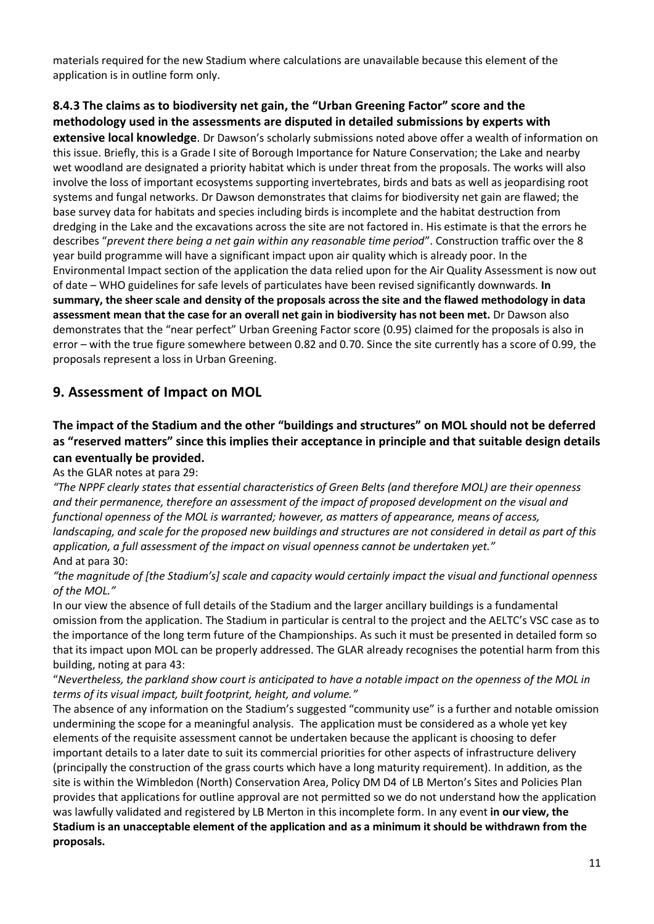materials required for the new Stadium where calculations are unavailable because this element of the application is in outline form only.

### **8.4.3 The claims as to biodiversity net gain, the "Urban Greening Factor" score and the methodology used in the assessments are disputed in detailed submissions by experts with**

**extensive local knowledge**. Dr Dawson's scholarly submissions noted above offer a wealth of information on this issue. Briefly, this is a Grade I site of Borough Importance for Nature Conservation; the Lake and nearby wet woodland are designated a priority habitat which is under threat from the proposals. The works will also involve the loss of important ecosystems supporting invertebrates, birds and bats as well as jeopardising root systems and fungal networks. Dr Dawson demonstrates that claims for biodiversity net gain are flawed; the base survey data for habitats and species including birds is incomplete and the habitat destruction from dredging in the Lake and the excavations across the site are not factored in. His estimate is that the errors he describes "*prevent there being a net gain within any reasonable time period*". Construction traffic over the 8 year build programme will have a significant impact upon air quality which is already poor. In the Environmental Impact section of the application the data relied upon for the Air Quality Assessment is now out of date – WHO guidelines for safe levels of particulates have been revised significantly downwards. **In summary, the sheer scale and density of the proposals across the site and the flawed methodology in data assessment mean that the case for an overall net gain in biodiversity has not been met.** Dr Dawson also demonstrates that the "near perfect" Urban Greening Factor score (0.95) claimed for the proposals is also in error – with the true figure somewhere between 0.82 and 0.70. Since the site currently has a score of 0.99, the proposals represent a loss in Urban Greening.

# **9. Assessment of Impact on MOL**

# **The impact of the Stadium and the other "buildings and structures" on MOL should not be deferred as "reserved matters" since this implies their acceptance in principle and that suitable design details can eventually be provided.**

As the GLAR notes at para 29:

*"The NPPF clearly states that essential characteristics of Green Belts (and therefore MOL) are their openness and their permanence, therefore an assessment of the impact of proposed development on the visual and functional openness of the MOL is warranted; however, as matters of appearance, means of access, landscaping, and scale for the proposed new buildings and structures are not considered in detail as part of this application, a full assessment of the impact on visual openness cannot be undertaken yet."* And at para 30:

*"the magnitude of [the Stadium's] scale and capacity would certainly impact the visual and functional openness of the MOL."*

In our view the absence of full details of the Stadium and the larger ancillary buildings is a fundamental omission from the application. The Stadium in particular is central to the project and the AELTC's VSC case as to the importance of the long term future of the Championships. As such it must be presented in detailed form so that its impact upon MOL can be properly addressed. The GLAR already recognises the potential harm from this building, noting at para 43:

"*Nevertheless, the parkland show court is anticipated to have a notable impact on the openness of the MOL in terms of its visual impact, built footprint, height, and volume."*

The absence of any information on the Stadium's suggested "community use" is a further and notable omission undermining the scope for a meaningful analysis. The application must be considered as a whole yet key elements of the requisite assessment cannot be undertaken because the applicant is choosing to defer important details to a later date to suit its commercial priorities for other aspects of infrastructure delivery (principally the construction of the grass courts which have a long maturity requirement). In addition, as the site is within the Wimbledon (North) Conservation Area, Policy DM D4 of LB Merton's Sites and Policies Plan provides that applications for outline approval are not permitted so we do not understand how the application was lawfully validated and registered by LB Merton in this incomplete form. In any event **in our view, the Stadium is an unacceptable element of the application and as a minimum it should be withdrawn from the proposals.**